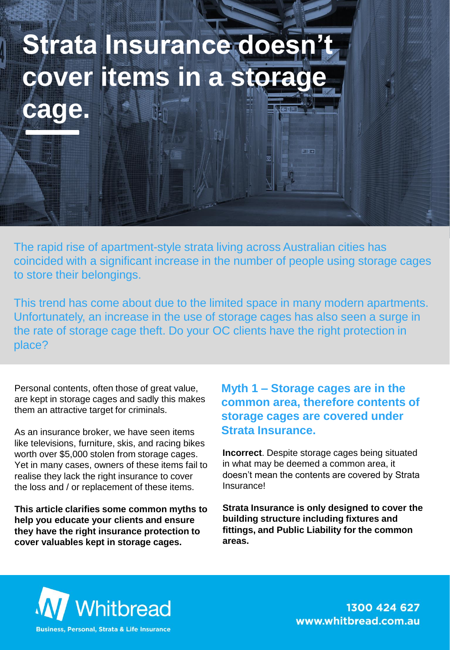## **Hilling Strata Insurance doesn't cover items in a storage cage.**

The rapid rise of apartment-style strata living across Australian cities has coincided with a significant increase in the number of people using storage cages to store their belongings.

This trend has come about due to the limited space in many modern apartments. Unfortunately, an increase in the use of storage cages has also seen a surge in the rate of storage cage theft. Do your OC clients have the right protection in place?

Personal contents, often those of great value, are kept in storage cages and sadly this makes them an attractive target for criminals.

As an insurance broker, we have seen items like televisions, furniture, skis, and racing bikes worth over \$5,000 stolen from storage cages. Yet in many cases, owners of these items fail to realise they lack the right insurance to cover the loss and / or replacement of these items.

**This article clarifies some common myths to help you educate your clients and ensure they have the right insurance protection to cover valuables kept in storage cages.**

**Myth 1 – Storage cages are in the common area, therefore contents of storage cages are covered under Strata Insurance.**

माङ्गम

**Incorrect**. Despite storage cages being situated in what may be deemed a common area, it doesn't mean the contents are covered by Strata Insurance!

**Strata Insurance is only designed to cover the building structure including fixtures and fittings, and Public Liability for the common areas.** 



1300 424 627 www.whitbread.com.au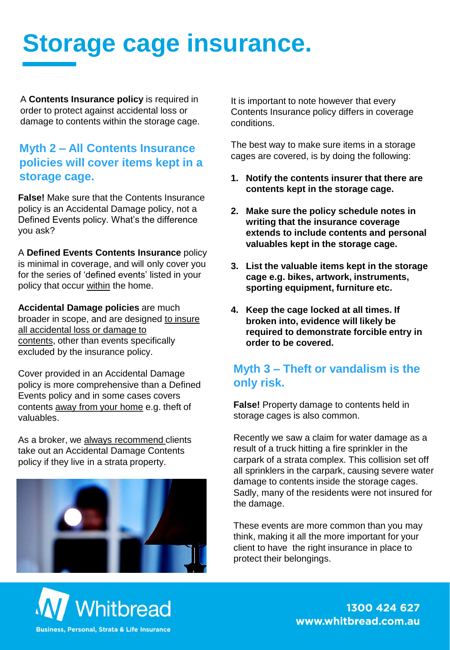# **Storage cage insurance.**

A **Contents Insurance policy** is required in order to protect against accidental loss or damage to contents within the storage cage.

### **Myth 2 – All Contents Insurance policies will cover items kept in a storage cage.**

**False!** Make sure that the Contents Insurance policy is an Accidental Damage policy, not a Defined Events policy. What's the difference you ask?

A **Defined Events Contents Insurance** policy is minimal in coverage, and will only cover you for the series of 'defined events' listed in your policy that occur within the home.

**Accidental Damage policies** are much broader in scope, and are designed to insure all accidental loss or damage to contents, other than events specifically excluded by the insurance policy.

Cover provided in an Accidental Damage policy is more comprehensive than a Defined Events policy and in some cases covers contents away from your home e.g. theft of valuables.

As a broker, we always recommend clients take out an Accidental Damage Contents policy if they live in a strata property.



It is important to note however that every Contents Insurance policy differs in coverage conditions.

The best way to make sure items in a storage cages are covered, is by doing the following:

- **1. Notify the contents insurer that there are contents kept in the storage cage.**
- **2. Make sure the policy schedule notes in writing that the insurance coverage extends to include contents and personal valuables kept in the storage cage.**
- **3. List the valuable items kept in the storage cage e.g. bikes, artwork, instruments, sporting equipment, furniture etc.**
- **4. Keep the cage locked at all times. If broken into, evidence will likely be required to demonstrate forcible entry in order to be covered.**

### **Myth 3 – Theft or vandalism is the only risk.**

**False!** Property damage to contents held in storage cages is also common.

Recently we saw a claim for water damage as a result of a truck hitting a fire sprinkler in the carpark of a strata complex. This collision set off all sprinklers in the carpark, causing severe water damage to contents inside the storage cages. Sadly, many of the residents were not insured for the damage.

These events are more common than you may think, making it all the more important for your client to have the right insurance in place to protect their belongings.



1300 424 627 www.whitbread.com.au